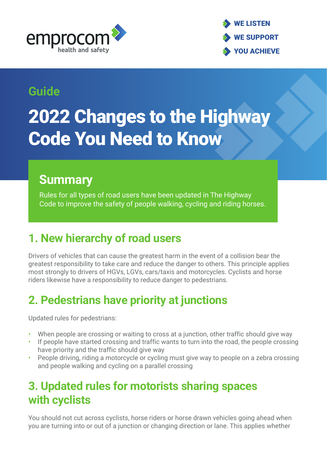



#### **Guide**

# 2022 Changes to the Highway Code You Need to Know

#### **Summary**

Rules for all types of road users have been updated in The Highway Code to improve the safety of people walking, cycling and riding horses.

# **1. New hierarchy of road users**

Drivers of vehicles that can cause the greatest harm in the event of a collision bear the greatest responsibility to take care and reduce the danger to others. This principle applies most strongly to drivers of HGVs, LGVs, cars/taxis and motorcycles. Cyclists and horse riders likewise have a responsibility to reduce danger to pedestrians.

# **2. Pedestrians have priority at junctions**

Updated rules for pedestrians:

- When people are crossing or waiting to cross at a junction, other traffic should give way
- If people have started crossing and traffic wants to turn into the road, the people crossing have priority and the traffic should give way
- People driving, riding a motorcycle or cycling must give way to people on a zebra crossing and people walking and cycling on a parallel crossing

# **3. Updated rules for motorists sharing spaces with cyclists**

You should not cut across cyclists, horse riders or horse drawn vehicles going ahead when you are turning into or out of a junction or changing direction or lane. This applies whether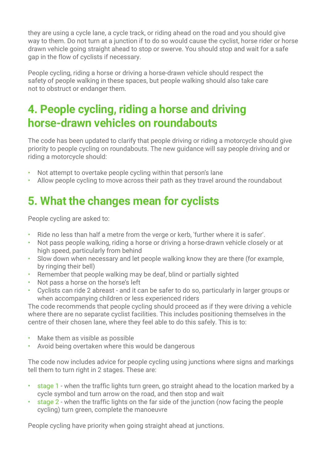they are using a cycle lane, a cycle track, or riding ahead on the road and you should give way to them. Do not turn at a junction if to do so would cause the cyclist, horse rider or horse drawn vehicle going straight ahead to stop or swerve. You should stop and wait for a safe gap in the flow of cyclists if necessary.

People cycling, riding a horse or driving a horse-drawn vehicle should respect the safety of people walking in these spaces, but people walking should also take care not to obstruct or endanger them.

#### **4. People cycling, riding a horse and driving horse-drawn vehicles on roundabouts**

The code has been updated to clarify that people driving or riding a motorcycle should give priority to people cycling on roundabouts. The new guidance will say people driving and or riding a motorcycle should:

- Not attempt to overtake people cycling within that person's lane
- Allow people cycling to move across their path as they travel around the roundabout

# **5. What the changes mean for cyclists**

People cycling are asked to:

- Ride no less than half a metre from the verge or kerb, 'further where it is safer'.
- Not pass people walking, riding a horse or driving a horse-drawn vehicle closely or at high speed, particularly from behind
- Slow down when necessary and let people walking know they are there (for example, by ringing their bell)
- Remember that people walking may be deaf, blind or partially sighted
- Not pass a horse on the horse's left
- Cyclists can ride 2 abreast and it can be safer to do so, particularly in larger groups or when accompanying children or less experienced riders

The code recommends that people cycling should proceed as if they were driving a vehicle where there are no separate cyclist facilities. This includes positioning themselves in the centre of their chosen lane, where they feel able to do this safely. This is to:

- Make them as visible as possible
- Avoid being overtaken where this would be dangerous

The code now includes advice for people cycling using junctions where signs and markings tell them to turn right in 2 stages. These are:

- stage 1 when the traffic lights turn green, go straight ahead to the location marked by a cycle symbol and turn arrow on the road, and then stop and wait
- stage 2 when the traffic lights on the far side of the junction (now facing the people cycling) turn green, complete the manoeuvre

People cycling have priority when going straight ahead at junctions.